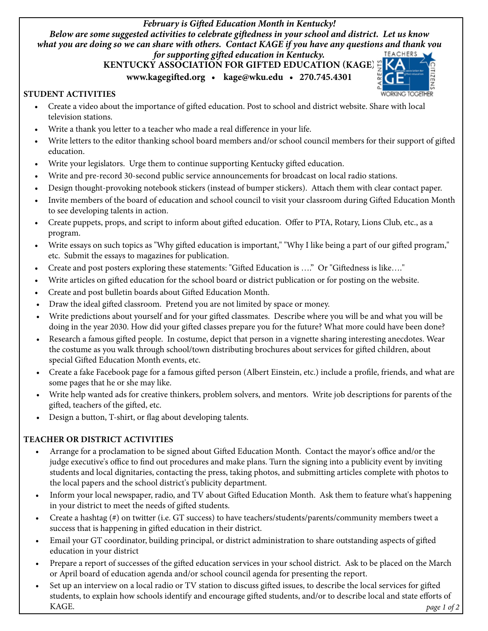*February is Gifted Education Month in Kentucky! Below are some suggested activities to celebrate giftedness in your school and district. Let us know what you are doing so we can share with others. Contact KAGE if you have any questions and thank you for supporting gifted education in Kentucky.*

## **KENTUCKY ASSOCIATION FOR GIFTED EDUCATION (KAGE)**

**www.kagegifted.org • kage@wku.edu • 270.745.4301**



## **Student Activities**

- • Create a video about the importance of gifted education. Post to school and district website. Share with local television stations.
- Write a thank you letter to a teacher who made a real difference in your life.
- Write letters to the editor thanking school board members and/or school council members for their support of gifted education.
- Write your legislators. Urge them to continue supporting Kentucky gifted education.
- Write and pre-record 30-second public service announcements for broadcast on local radio stations.
- • Design thought-provoking notebook stickers (instead of bumper stickers). Attach them with clear contact paper.
- Invite members of the board of education and school council to visit your classroom during Gifted Education Month to see developing talents in action.
- Create puppets, props, and script to inform about gifted education. Offer to PTA, Rotary, Lions Club, etc., as a program.
- Write essays on such topics as "Why gifted education is important," "Why I like being a part of our gifted program," etc. Submit the essays to magazines for publication.
- Create and post posters exploring these statements: "Gifted Education is ...." Or "Giftedness is like...."
- Write articles on gifted education for the school board or district publication or for posting on the website.
- Create and post bulletin boards about Gifted Education Month.
- Draw the ideal gifted classroom. Pretend you are not limited by space or money.
- • Write predictions about yourself and for your gifted classmates. Describe where you will be and what you will be doing in the year 2030. How did your gifted classes prepare you for the future? What more could have been done?
- Research a famous gifted people. In costume, depict that person in a vignette sharing interesting anecdotes. Wear the costume as you walk through school/town distributing brochures about services for gifted children, about special Gifted Education Month events, etc.
- Create a fake Facebook page for a famous gifted person (Albert Einstein, etc.) include a profile, friends, and what are some pages that he or she may like.
- Write help wanted ads for creative thinkers, problem solvers, and mentors. Write job descriptions for parents of the gifted, teachers of the gifted, etc.
- • Design a button, T-shirt, or flag about developing talents.

## **Teacher or District Activities**

- • Arrange for a proclamation to be signed about Gifted Education Month. Contact the mayor's office and/or the judge executive's office to find out procedures and make plans. Turn the signing into a publicity event by inviting students and local dignitaries, contacting the press, taking photos, and submitting articles complete with photos to the local papers and the school district's publicity department.
- Inform your local newspaper, radio, and TV about Gifted Education Month. Ask them to feature what's happening in your district to meet the needs of gifted students.
- Create a hashtag (#) on twitter (i.e. GT success) to have teachers/students/parents/community members tweet a success that is happening in gifted education in their district.
- Email your GT coordinator, building principal, or district administration to share outstanding aspects of gifted education in your district
- Prepare a report of successes of the gifted education services in your school district. Ask to be placed on the March or April board of education agenda and/or school council agenda for presenting the report.
- Set up an interview on a local radio or TV station to discuss gifted issues, to describe the local services for gifted students, to explain how schools identify and encourage gifted students, and/or to describe local and state efforts of KAGE. *page 1 of 2*